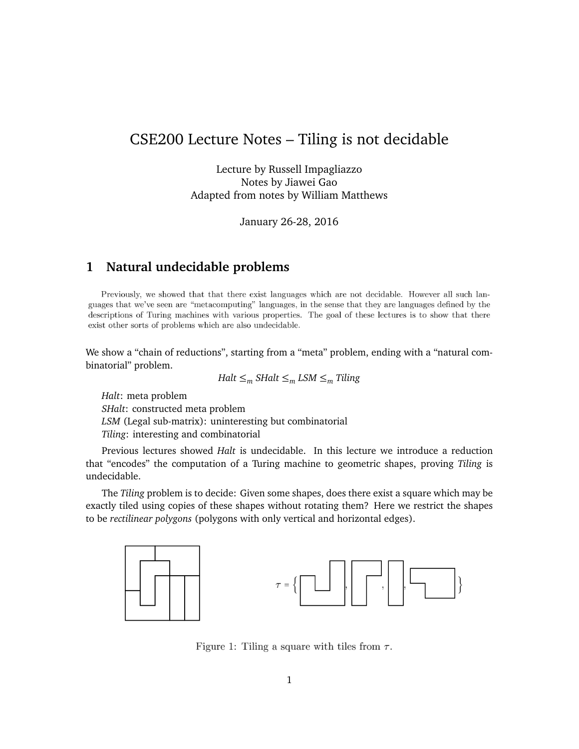## CSE200 Lecture Notes – Tiling is not decidable

Lecture by Russell Impagliazzo Notes by Jiawei Gao Adapted from notes by William Matthews

January 26-28, 2016

### **1 Natural undecidable problems**

Previously, we showed that that there exist languages which are not decidable. However all such languages that we've seen are "metacomputing" languages, in the sense that they are languages defined by the descriptions of Turing machines with various properties. The goal of these lectures is to show that there exist other sorts of problems which are also undecidable.

We show a "chain of reductions", starting from a "meta" problem, ending with a "natural combinatorial" problem.

$$
Halt \leq_m SHalt \leq_m LSM \leq_m Tiling
$$

*Halt*: meta problem *SHalt*: constructed meta problem *LSM* (Legal sub-matrix): uninteresting but combinatorial *Tiling*: interesting and combinatorial

Previous lectures showed *Halt* is undecidable. In this lecture we introduce a reduction that "encodes" the computation of a Turing machine to geometric shapes, proving *Tiling* is undecidable.

The *Tiling* problem is to decide: Given some shapes, does there exist a square which may be exactly tiled using copies of these shapes without rotating them? Here we restrict the shapes to be *rectilinear polygons* (polygons with only vertical and horizontal edges).



Figure 1: Tiling a square with tiles from  $\tau$ .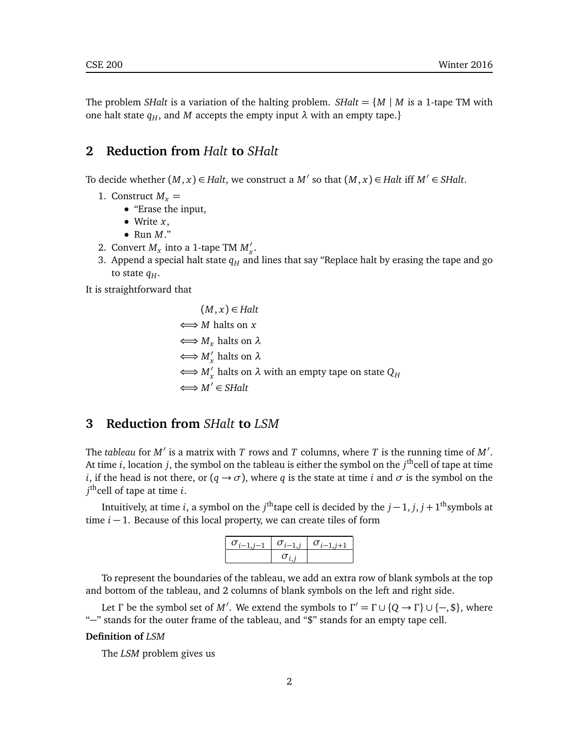The problem *SHalt* is a variation of the halting problem. *SHalt* =  $\{M \mid M$  is a 1-tape TM with one halt state  $q_H$ , and *M* accepts the empty input  $\lambda$  with an empty tape.}

## **2 Reduction from** *Halt* **to** *SHalt*

To decide whether  $(M, x) \in \text{Halt}$ , we construct a  $M'$  so that  $(M, x) \in \text{Halt}$  iff  $M' \in \text{SHalt}$ .

- 1. Construct  $M<sub>x</sub> =$ 
	- "Erase the input,
	- Write *x*,
	- Run *M*."
- 2. Convert  $M_x$  into a 1-tape TM  $M'_x$ .
- 3. Append a special halt state  $q_H$  and lines that say "Replace halt by erasing the tape and go to state  $q_H$ .

It is straightforward that

$$
(M, x) \in \text{Halt}
$$
\n
$$
\iff M \text{ halts on } x
$$
\n
$$
\iff M_x \text{ halts on } \lambda
$$
\n
$$
\iff M'_x \text{ halts on } \lambda
$$
\n
$$
\iff M'_x \text{ halts on } \lambda \text{ with an empty tape on state } Q_H
$$
\n
$$
\iff M' \in \text{SHalt}
$$

## **3 Reduction from** *SHalt* **to** *LSM*

The *tableau* for  $M'$  is a matrix with *T* rows and *T* columns, where *T* is the running time of  $M'$ . At time *i*, location *j*, the symbol on the tableau is either the symbol on the *j*<sup>th</sup>cell of tape at time *i*, if the head is not there, or  $(q \rightarrow \sigma)$ , where *q* is the state at time *i* and  $\sigma$  is the symbol on the *j* thcell of tape at time *i*.

Intuitively, at time *i*, a symbol on the  $j^{\text{th}}$ tape cell is decided by the  $j-1, j, j+1^{\text{th}}$ symbols at time *i* − 1. Because of this local property, we can create tiles of form

| $\sigma_{i-1}$<br>$\ddot{i}$ 1 | $\sigma_{i-1,i}$ | $\sigma_{i-1,i+1}$ |
|--------------------------------|------------------|--------------------|
|                                |                  |                    |

To represent the boundaries of the tableau, we add an extra row of blank symbols at the top and bottom of the tableau, and 2 columns of blank symbols on the left and right side.

Let *Γ* be the symbol set of *M'*. We extend the symbols to  $\Gamma' = \Gamma \cup \{Q \to \Gamma\} \cup \{-, \$\}$ , where "−" stands for the outer frame of the tableau, and "\$" stands for an empty tape cell.

#### **Definition of** *LSM*

The *LSM* problem gives us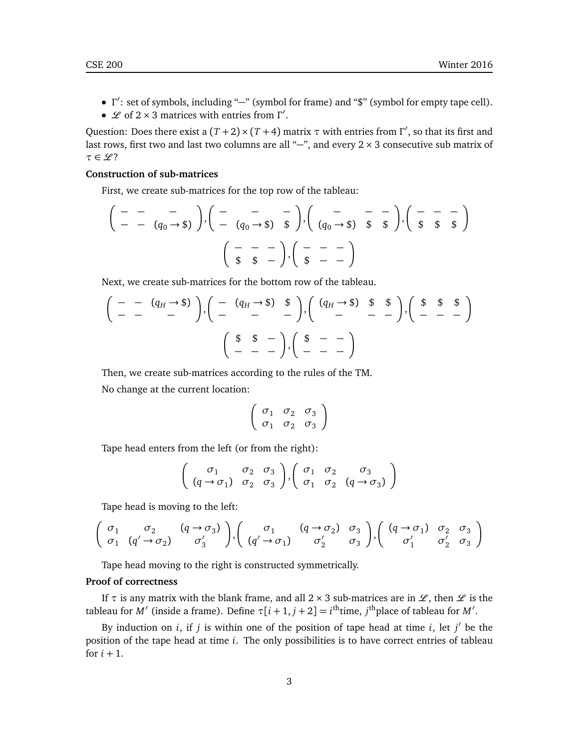- *Γ'*: set of symbols, including "–" (symbol for frame) and "\$" (symbol for empty tape cell).
- *L* of 2 × 3 matrices with entries from Γ'.

Question: Does there exist a  $(T+2) \times (T+4)$  matrix  $\tau$  with entries from  $\Gamma'$ , so that its first and last rows, first two and last two columns are all "–", and every 2 × 3 consecutive sub matrix of  $\tau \in \mathscr{L}$ ?

#### **Construction of sub-matrices**

First, we create sub-matrices for the top row of the tableau:

$$
\left(\begin{array}{ccc} - & - & - \\ - & - & q_0 \rightarrow \text{\$} \end{array}\right), \left(\begin{array}{ccc} - & - & - \\ - & (q_0 \rightarrow \text{\$}) & \text{\$} \end{array}\right), \left(\begin{array}{ccc} - & - & - \\ (q_0 \rightarrow \text{\$}) & \text{\$} \end{array}\right), \left(\begin{array}{ccc} - & - & - \\ \text{\$} & \text{\$} \end{array}\right), \left(\begin{array}{ccc} - & - & - \\ \text{\$} & \text{\$} \end{array}\right)
$$
\n
$$
\left(\begin{array}{ccc} - & - & - \\ \text{\$} & \text{\$} \end{array}\right), \left(\begin{array}{ccc} - & - & - \\ \text{\$} & \text{\$} \end{array}\right)
$$

Next, we create sub-matrices for the bottom row of the tableau.

$$
\left(\begin{array}{cccccc} - & - & (q_H \rightarrow \text{\$}) \\ - & - & - \end{array}\right), \left(\begin{array}{cccccc} - & (q_H \rightarrow \text{\$}) & \text{\$} \\ - & - & - \end{array}\right), \left(\begin{array}{cccccc} (q_H \rightarrow \text{\$}) & \text{\$} & \text{\$} \\ - & - & - \end{array}\right), \left(\begin{array}{cccccc} \text{\$} & \text{\$} & \text{\$} \\ - & - & - \end{array}\right)
$$
\n
$$
\left(\begin{array}{cccccc} \text{\$} & \text{\$} & - \\ - & - & - \end{array}\right), \left(\begin{array}{cccccc} \text{\$} & - & - \\ - & - & - \end{array}\right)
$$

Then, we create sub-matrices according to the rules of the TM.

No change at the current location:

$$
\left(\begin{array}{ccc}\n\sigma_1 & \sigma_2 & \sigma_3 \\
\sigma_1 & \sigma_2 & \sigma_3\n\end{array}\right)
$$

Tape head enters from the left (or from the right):

$$
\left(\begin{array}{ccc} \sigma_1 & \sigma_2 & \sigma_3 \\ (q \rightarrow \sigma_1) & \sigma_2 & \sigma_3 \end{array}\right), \left(\begin{array}{ccc} \sigma_1 & \sigma_2 & \sigma_3 \\ \sigma_1 & \sigma_2 & (q \rightarrow \sigma_3) \end{array}\right)
$$

Tape head is moving to the left:

$$
\begin{pmatrix}\n\sigma_1 & \sigma_2 & (q \to \sigma_3) \\
\sigma_1 & (q' \to \sigma_2) & \sigma_3'\n\end{pmatrix}, \begin{pmatrix}\n\sigma_1 & (q \to \sigma_2) & \sigma_3 \\
(q' \to \sigma_1) & \sigma_2' & \sigma_3'\n\end{pmatrix}, \begin{pmatrix}\n(q \to \sigma_1) & \sigma_2 & \sigma_3 \\
\sigma_1' & \sigma_2' & \sigma_3'\n\end{pmatrix}
$$

Tape head moving to the right is constructed symmetrically.

#### **Proof of correctness**

If  $\tau$  is any matrix with the blank frame, and all  $2 \times 3$  sub-matrices are in  $\mathcal{L}$ , then  $\mathcal{L}$  is the tableau for  $M'$  (inside a frame). Define  $\tau[i+1, j+2] = i^{\text{th}}$ time,  $j^{\text{th}}$ place of tableau for  $M'$ .

By induction on  $i$ , if  $j$  is within one of the position of tape head at time  $i$ , let  $j'$  be the position of the tape head at time *i*. The only possibilities is to have correct entries of tableau for  $i + 1$ .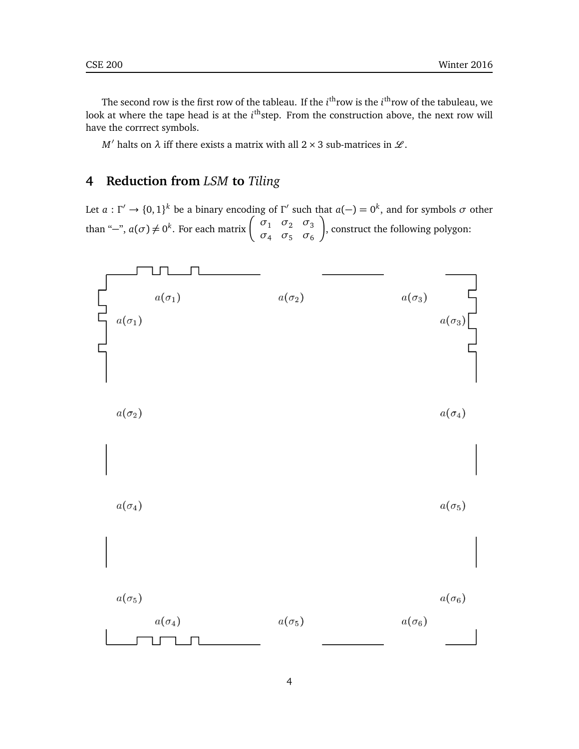The second row is the first row of the tableau. If the *i*<sup>th</sup>row is the *i*<sup>th</sup>row of the tabuleau, we look at where the tape head is at the *i*<sup>th</sup>step. From the construction above, the next row will have the corrrect symbols.

*M*<sup> $\prime$ </sup> halts on *λ* iff there exists a matrix with all 2 × 3 sub-matrices in *L*.

# **4 Reduction from** *LSM* **to** *Tiling*

Let  $a: \Gamma' \to \{0,1\}^k$  be a binary encoding of  $\Gamma'$  such that  $a(-) = 0^k$ , and for symbols  $\sigma$  other than "-",  $a(\sigma) \neq 0^k$ . For each matrix  $\begin{pmatrix} \sigma_1 & \sigma_2 & \sigma_3 \\ \sigma_1 & \sigma_2 & \sigma_3 \end{pmatrix}$ *σ*<sup>4</sup> *σ*<sup>5</sup> *σ*<sup>6</sup> λ , construct the following polygon: